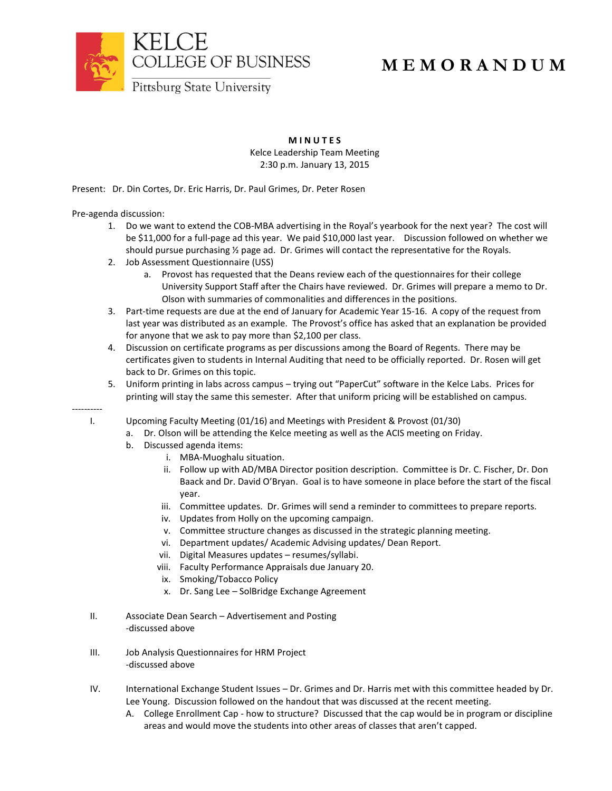

## **M E M O R A N D U M**

**M I N U T E S**

Kelce Leadership Team Meeting 2:30 p.m. January 13, 2015

Present: Dr. Din Cortes, Dr. Eric Harris, Dr. Paul Grimes, Dr. Peter Rosen

Pre-agenda discussion:

----------

- 1. Do we want to extend the COB-MBA advertising in the Royal's yearbook for the next year? The cost will be \$11,000 for a full-page ad this year. We paid \$10,000 last year. Discussion followed on whether we should pursue purchasing ½ page ad. Dr. Grimes will contact the representative for the Royals.
- 2. Job Assessment Questionnaire (USS)
	- a. Provost has requested that the Deans review each of the questionnaires for their college University Support Staff after the Chairs have reviewed. Dr. Grimes will prepare a memo to Dr. Olson with summaries of commonalities and differences in the positions.
- 3. Part-time requests are due at the end of January for Academic Year 15-16. A copy of the request from last year was distributed as an example. The Provost's office has asked that an explanation be provided for anyone that we ask to pay more than \$2,100 per class.
- 4. Discussion on certificate programs as per discussions among the Board of Regents. There may be certificates given to students in Internal Auditing that need to be officially reported. Dr. Rosen will get back to Dr. Grimes on this topic.
- 5. Uniform printing in labs across campus trying out "PaperCut" software in the Kelce Labs. Prices for printing will stay the same this semester. After that uniform pricing will be established on campus.

I. Upcoming Faculty Meeting (01/16) and Meetings with President & Provost (01/30)

- a. Dr. Olson will be attending the Kelce meeting as well as the ACIS meeting on Friday.
- b. Discussed agenda items:
	- i. MBA-Muoghalu situation.
	- ii. Follow up with AD/MBA Director position description. Committee is Dr. C. Fischer, Dr. Don Baack and Dr. David O'Bryan. Goal is to have someone in place before the start of the fiscal year.
	- iii. Committee updates. Dr. Grimes will send a reminder to committees to prepare reports.
	- iv. Updates from Holly on the upcoming campaign.
	- v. Committee structure changes as discussed in the strategic planning meeting.
	- vi. Department updates/ Academic Advising updates/ Dean Report.
	- vii. Digital Measures updates resumes/syllabi.
	- viii. Faculty Performance Appraisals due January 20.
	- ix. Smoking/Tobacco Policy
	- x. Dr. Sang Lee SolBridge Exchange Agreement
- II. Associate Dean Search Advertisement and Posting -discussed above
- III. Job Analysis Questionnaires for HRM Project -discussed above
- IV. International Exchange Student Issues Dr. Grimes and Dr. Harris met with this committee headed by Dr. Lee Young. Discussion followed on the handout that was discussed at the recent meeting.
	- A. College Enrollment Cap how to structure? Discussed that the cap would be in program or discipline areas and would move the students into other areas of classes that aren't capped.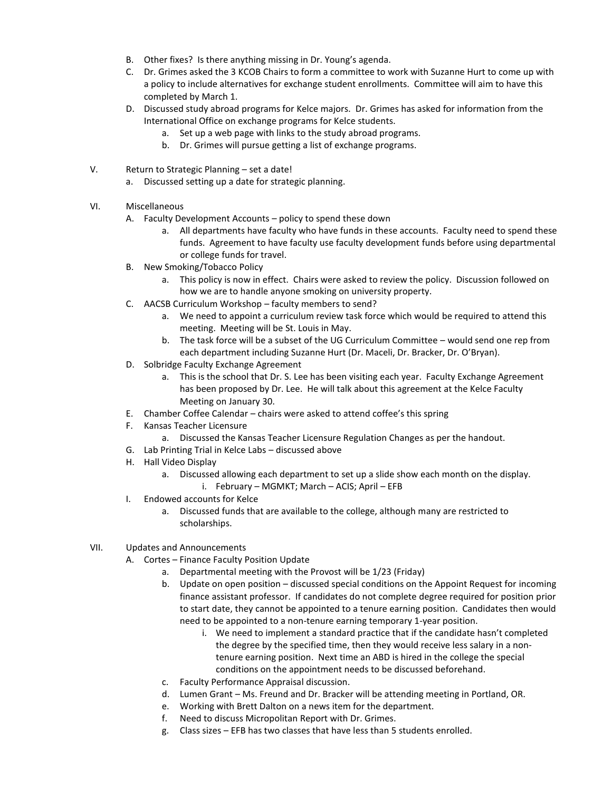- B. Other fixes? Is there anything missing in Dr. Young's agenda.
- C. Dr. Grimes asked the 3 KCOB Chairs to form a committee to work with Suzanne Hurt to come up with a policy to include alternatives for exchange student enrollments. Committee will aim to have this completed by March 1.
- D. Discussed study abroad programs for Kelce majors. Dr. Grimes has asked for information from the International Office on exchange programs for Kelce students.
	- a. Set up a web page with links to the study abroad programs.
	- b. Dr. Grimes will pursue getting a list of exchange programs.
- V. Return to Strategic Planning set a date!
	- a. Discussed setting up a date for strategic planning.
- VI. Miscellaneous
	- A. Faculty Development Accounts policy to spend these down
		- a. All departments have faculty who have funds in these accounts. Faculty need to spend these funds. Agreement to have faculty use faculty development funds before using departmental or college funds for travel.
	- B. New Smoking/Tobacco Policy
		- a. This policy is now in effect. Chairs were asked to review the policy. Discussion followed on how we are to handle anyone smoking on university property.
	- C. AACSB Curriculum Workshop faculty members to send?
		- a. We need to appoint a curriculum review task force which would be required to attend this meeting. Meeting will be St. Louis in May.
		- b. The task force will be a subset of the UG Curriculum Committee would send one rep from each department including Suzanne Hurt (Dr. Maceli, Dr. Bracker, Dr. O'Bryan).
	- D. Solbridge Faculty Exchange Agreement
		- a. This is the school that Dr. S. Lee has been visiting each year. Faculty Exchange Agreement has been proposed by Dr. Lee. He will talk about this agreement at the Kelce Faculty Meeting on January 30.
	- E. Chamber Coffee Calendar chairs were asked to attend coffee's this spring
	- F. Kansas Teacher Licensure
		- a. Discussed the Kansas Teacher Licensure Regulation Changes as per the handout.
	- G. Lab Printing Trial in Kelce Labs discussed above
	- H. Hall Video Display
		- a. Discussed allowing each department to set up a slide show each month on the display.
			- i. February MGMKT; March ACIS; April EFB
	- I. Endowed accounts for Kelce
		- a. Discussed funds that are available to the college, although many are restricted to scholarships.
- VII. Updates and Announcements
	- A. Cortes Finance Faculty Position Update
		- a. Departmental meeting with the Provost will be 1/23 (Friday)
		- b. Update on open position discussed special conditions on the Appoint Request for incoming finance assistant professor. If candidates do not complete degree required for position prior to start date, they cannot be appointed to a tenure earning position. Candidates then would need to be appointed to a non-tenure earning temporary 1-year position.
			- i. We need to implement a standard practice that if the candidate hasn't completed the degree by the specified time, then they would receive less salary in a nontenure earning position. Next time an ABD is hired in the college the special conditions on the appointment needs to be discussed beforehand.
		- c. Faculty Performance Appraisal discussion.
		- d. Lumen Grant Ms. Freund and Dr. Bracker will be attending meeting in Portland, OR.
		- e. Working with Brett Dalton on a news item for the department.
		- f. Need to discuss Micropolitan Report with Dr. Grimes.
		- g. Class sizes EFB has two classes that have less than 5 students enrolled.